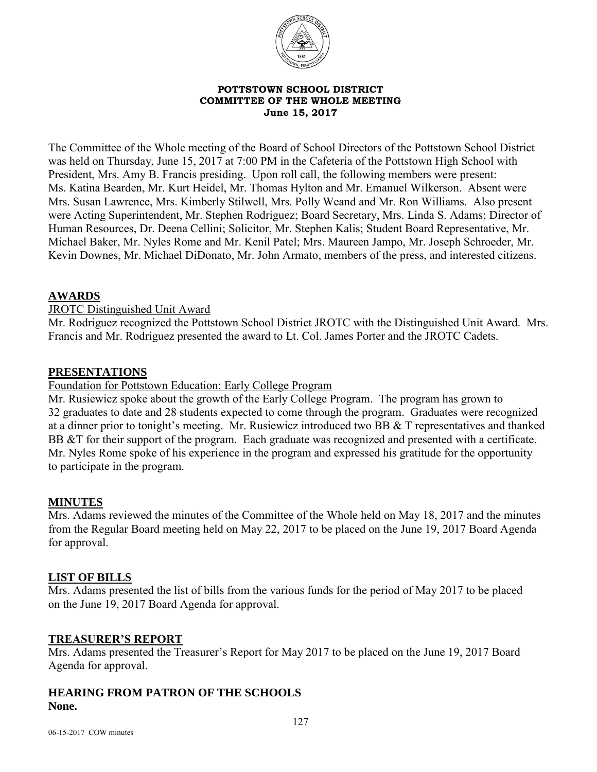

#### **POTTSTOWN SCHOOL DISTRICT COMMITTEE OF THE WHOLE MEETING June 15, 2017**

The Committee of the Whole meeting of the Board of School Directors of the Pottstown School District was held on Thursday, June 15, 2017 at 7:00 PM in the Cafeteria of the Pottstown High School with President, Mrs. Amy B. Francis presiding. Upon roll call, the following members were present: Ms. Katina Bearden, Mr. Kurt Heidel, Mr. Thomas Hylton and Mr. Emanuel Wilkerson. Absent were Mrs. Susan Lawrence, Mrs. Kimberly Stilwell, Mrs. Polly Weand and Mr. Ron Williams. Also present were Acting Superintendent, Mr. Stephen Rodriguez; Board Secretary, Mrs. Linda S. Adams; Director of Human Resources, Dr. Deena Cellini; Solicitor, Mr. Stephen Kalis; Student Board Representative, Mr. Michael Baker, Mr. Nyles Rome and Mr. Kenil Patel; Mrs. Maureen Jampo, Mr. Joseph Schroeder, Mr. Kevin Downes, Mr. Michael DiDonato, Mr. John Armato, members of the press, and interested citizens.

## **AWARDS**

JROTC Distinguished Unit Award

Mr. Rodriguez recognized the Pottstown School District JROTC with the Distinguished Unit Award. Mrs. Francis and Mr. Rodriguez presented the award to Lt. Col. James Porter and the JROTC Cadets.

### **PRESENTATIONS**

Foundation for Pottstown Education: Early College Program

Mr. Rusiewicz spoke about the growth of the Early College Program. The program has grown to 32 graduates to date and 28 students expected to come through the program. Graduates were recognized at a dinner prior to tonight's meeting. Mr. Rusiewicz introduced two BB & T representatives and thanked BB &T for their support of the program. Each graduate was recognized and presented with a certificate. Mr. Nyles Rome spoke of his experience in the program and expressed his gratitude for the opportunity to participate in the program.

# **MINUTES**

Mrs. Adams reviewed the minutes of the Committee of the Whole held on May 18, 2017 and the minutes from the Regular Board meeting held on May 22, 2017 to be placed on the June 19, 2017 Board Agenda for approval.

### **LIST OF BILLS**

Mrs. Adams presented the list of bills from the various funds for the period of May 2017 to be placed on the June 19, 2017 Board Agenda for approval.

### **TREASURER'S REPORT**

Mrs. Adams presented the Treasurer's Report for May 2017 to be placed on the June 19, 2017 Board Agenda for approval.

## **HEARING FROM PATRON OF THE SCHOOLS None.**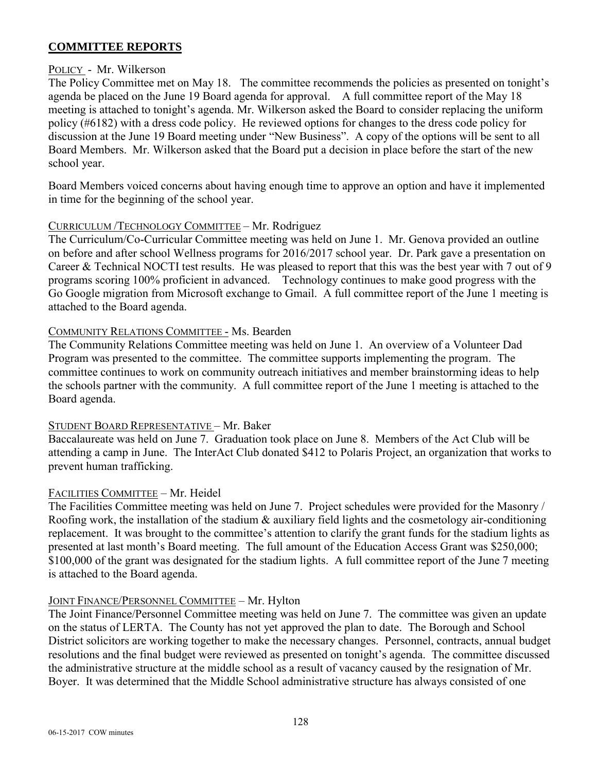## **COMMITTEE REPORTS**

### POLICY - Mr. Wilkerson

The Policy Committee met on May 18. The committee recommends the policies as presented on tonight's agenda be placed on the June 19 Board agenda for approval. A full committee report of the May 18 meeting is attached to tonight's agenda. Mr. Wilkerson asked the Board to consider replacing the uniform policy (#6182) with a dress code policy. He reviewed options for changes to the dress code policy for discussion at the June 19 Board meeting under "New Business". A copy of the options will be sent to all Board Members. Mr. Wilkerson asked that the Board put a decision in place before the start of the new school year.

Board Members voiced concerns about having enough time to approve an option and have it implemented in time for the beginning of the school year.

## CURRICULUM /TECHNOLOGY COMMITTEE – Mr. Rodriguez

The Curriculum/Co-Curricular Committee meeting was held on June 1. Mr. Genova provided an outline on before and after school Wellness programs for 2016/2017 school year. Dr. Park gave a presentation on Career & Technical NOCTI test results. He was pleased to report that this was the best year with 7 out of 9 programs scoring 100% proficient in advanced. Technology continues to make good progress with the Go Google migration from Microsoft exchange to Gmail. A full committee report of the June 1 meeting is attached to the Board agenda.

## COMMUNITY RELATIONS COMMITTEE - Ms. Bearden

The Community Relations Committee meeting was held on June 1. An overview of a Volunteer Dad Program was presented to the committee. The committee supports implementing the program. The committee continues to work on community outreach initiatives and member brainstorming ideas to help the schools partner with the community. A full committee report of the June 1 meeting is attached to the Board agenda.

# STUDENT BOARD REPRESENTATIVE – Mr. Baker

Baccalaureate was held on June 7. Graduation took place on June 8. Members of the Act Club will be attending a camp in June. The InterAct Club donated \$412 to Polaris Project, an organization that works to prevent human trafficking.

# FACILITIES COMMITTEE – Mr. Heidel

The Facilities Committee meeting was held on June 7. Project schedules were provided for the Masonry / Roofing work, the installation of the stadium & auxiliary field lights and the cosmetology air-conditioning replacement. It was brought to the committee's attention to clarify the grant funds for the stadium lights as presented at last month's Board meeting. The full amount of the Education Access Grant was \$250,000; \$100,000 of the grant was designated for the stadium lights. A full committee report of the June 7 meeting is attached to the Board agenda.

# JOINT FINANCE/PERSONNEL COMMITTEE – Mr. Hylton

The Joint Finance/Personnel Committee meeting was held on June 7. The committee was given an update on the status of LERTA. The County has not yet approved the plan to date. The Borough and School District solicitors are working together to make the necessary changes. Personnel, contracts, annual budget resolutions and the final budget were reviewed as presented on tonight's agenda. The committee discussed the administrative structure at the middle school as a result of vacancy caused by the resignation of Mr. Boyer. It was determined that the Middle School administrative structure has always consisted of one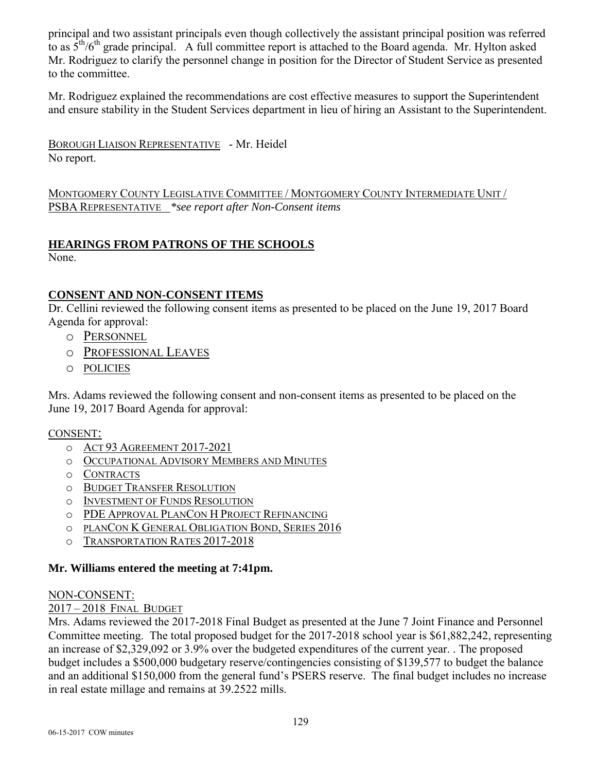principal and two assistant principals even though collectively the assistant principal position was referred to as  $5<sup>th</sup>/6<sup>th</sup>$  grade principal. A full committee report is attached to the Board agenda. Mr. Hylton asked Mr. Rodriguez to clarify the personnel change in position for the Director of Student Service as presented to the committee.

Mr. Rodriguez explained the recommendations are cost effective measures to support the Superintendent and ensure stability in the Student Services department in lieu of hiring an Assistant to the Superintendent.

BOROUGH LIAISON REPRESENTATIVE - Mr. Heidel No report.

MONTGOMERY COUNTY LEGISLATIVE COMMITTEE / MONTGOMERY COUNTY INTERMEDIATE UNIT / PSBA REPRESENTATIVE *\*see report after Non-Consent items* 

# **HEARINGS FROM PATRONS OF THE SCHOOLS**

None.

# **CONSENT AND NON-CONSENT ITEMS**

Dr. Cellini reviewed the following consent items as presented to be placed on the June 19, 2017 Board Agenda for approval:

- o PERSONNEL
- o PROFESSIONAL LEAVES
- o POLICIES

Mrs. Adams reviewed the following consent and non-consent items as presented to be placed on the June 19, 2017 Board Agenda for approval:

### CONSENT:

- o ACT 93 AGREEMENT 2017-2021
- o OCCUPATIONAL ADVISORY MEMBERS AND MINUTES
- o CONTRACTS
- o BUDGET TRANSFER RESOLUTION
- o INVESTMENT OF FUNDS RESOLUTION
- o PDE APPROVAL PLANCON H PROJECT REFINANCING
- o PLANCON K GENERAL OBLIGATION BOND, SERIES 2016
- o TRANSPORTATION RATES 2017-2018

# **Mr. Williams entered the meeting at 7:41pm.**

### NON-CONSENT:

### 2017 – 2018 FINAL BUDGET

Mrs. Adams reviewed the 2017-2018 Final Budget as presented at the June 7 Joint Finance and Personnel Committee meeting. The total proposed budget for the 2017-2018 school year is \$61,882,242, representing an increase of \$2,329,092 or 3.9% over the budgeted expenditures of the current year. . The proposed budget includes a \$500,000 budgetary reserve/contingencies consisting of \$139,577 to budget the balance and an additional \$150,000 from the general fund's PSERS reserve. The final budget includes no increase in real estate millage and remains at 39.2522 mills.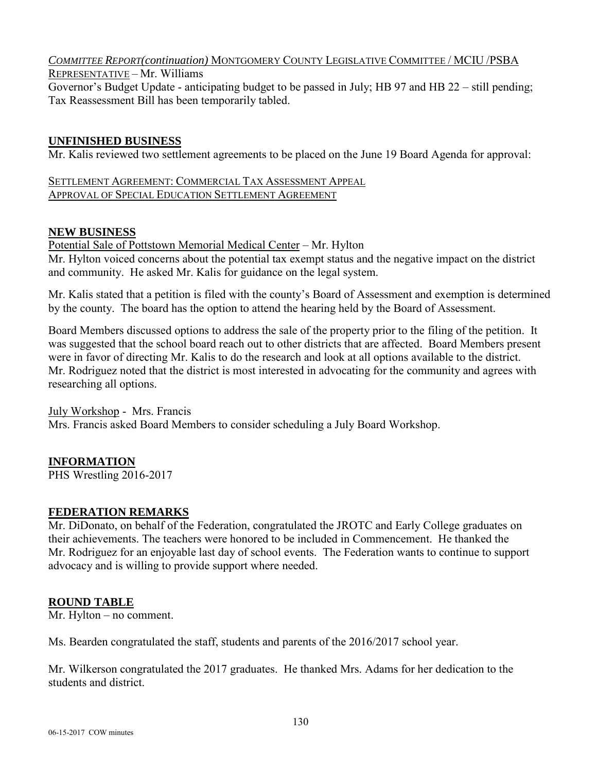#### *COMMITTEE REPORT(continuation)* MONTGOMERY COUNTY LEGISLATIVE COMMITTEE / MCIU /PSBA REPRESENTATIVE – Mr. Williams

Governor's Budget Update - anticipating budget to be passed in July; HB 97 and HB 22 – still pending; Tax Reassessment Bill has been temporarily tabled.

# **UNFINISHED BUSINESS**

Mr. Kalis reviewed two settlement agreements to be placed on the June 19 Board Agenda for approval:

SETTLEMENT AGREEMENT: COMMERCIAL TAX ASSESSMENT APPEAL APPROVAL OF SPECIAL EDUCATION SETTLEMENT AGREEMENT

## **NEW BUSINESS**

Potential Sale of Pottstown Memorial Medical Center – Mr. Hylton Mr. Hylton voiced concerns about the potential tax exempt status and the negative impact on the district and community. He asked Mr. Kalis for guidance on the legal system.

Mr. Kalis stated that a petition is filed with the county's Board of Assessment and exemption is determined by the county. The board has the option to attend the hearing held by the Board of Assessment.

Board Members discussed options to address the sale of the property prior to the filing of the petition. It was suggested that the school board reach out to other districts that are affected. Board Members present were in favor of directing Mr. Kalis to do the research and look at all options available to the district. Mr. Rodriguez noted that the district is most interested in advocating for the community and agrees with researching all options.

July Workshop - Mrs. Francis

Mrs. Francis asked Board Members to consider scheduling a July Board Workshop.

# **INFORMATION**

PHS Wrestling 2016-2017

# **FEDERATION REMARKS**

Mr. DiDonato, on behalf of the Federation, congratulated the JROTC and Early College graduates on their achievements. The teachers were honored to be included in Commencement. He thanked the Mr. Rodriguez for an enjoyable last day of school events. The Federation wants to continue to support advocacy and is willing to provide support where needed.

# **ROUND TABLE**

Mr. Hylton – no comment.

Ms. Bearden congratulated the staff, students and parents of the 2016/2017 school year.

Mr. Wilkerson congratulated the 2017 graduates. He thanked Mrs. Adams for her dedication to the students and district.